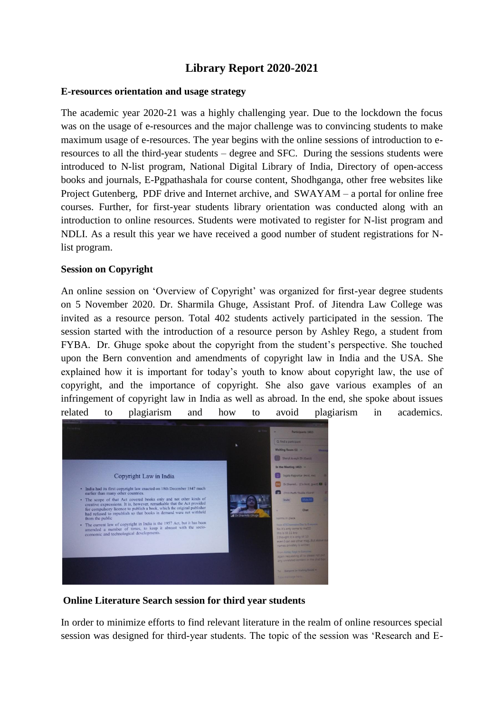# **Library Report 2020-2021**

## **E-resources orientation and usage strategy**

The academic year 2020-21 was a highly challenging year. Due to the lockdown the focus was on the usage of e-resources and the major challenge was to convincing students to make maximum usage of e-resources. The year begins with the online sessions of introduction to eresources to all the third-year students – degree and SFC. During the sessions students were introduced to N-list program, National Digital Library of India, Directory of open-access books and journals, E-Pgpathashala for course content, Shodhganga, other free websites like Project Gutenberg, PDF drive and Internet archive, and SWAYAM – a portal for online free courses. Further, for first-year students library orientation was conducted along with an introduction to online resources. Students were motivated to register for N-list program and NDLI. As a result this year we have received a good number of student registrations for Nlist program.

#### **Session on Copyright**

An online session on 'Overview of Copyright' was organized for first-year degree students on 5 November 2020. Dr. Sharmila Ghuge, Assistant Prof. of Jitendra Law College was invited as a resource person. Total 402 students actively participated in the session. The session started with the introduction of a resource person by Ashley Rego, a student from FYBA. Dr. Ghuge spoke about the copyright from the student's perspective. She touched upon the Bern convention and amendments of copyright law in India and the USA. She explained how it is important for today's youth to know about copyright law, the use of copyright, and the importance of copyright. She also gave various examples of an infringement of copyright law in India as well as abroad. In the end, she spoke about issues related to plagiarism and how to avoid plagiarism in academics.



**Online Literature Search session for third year students**

In order to minimize efforts to find relevant literature in the realm of online resources special session was designed for third-year students. The topic of the session was 'Research and E-